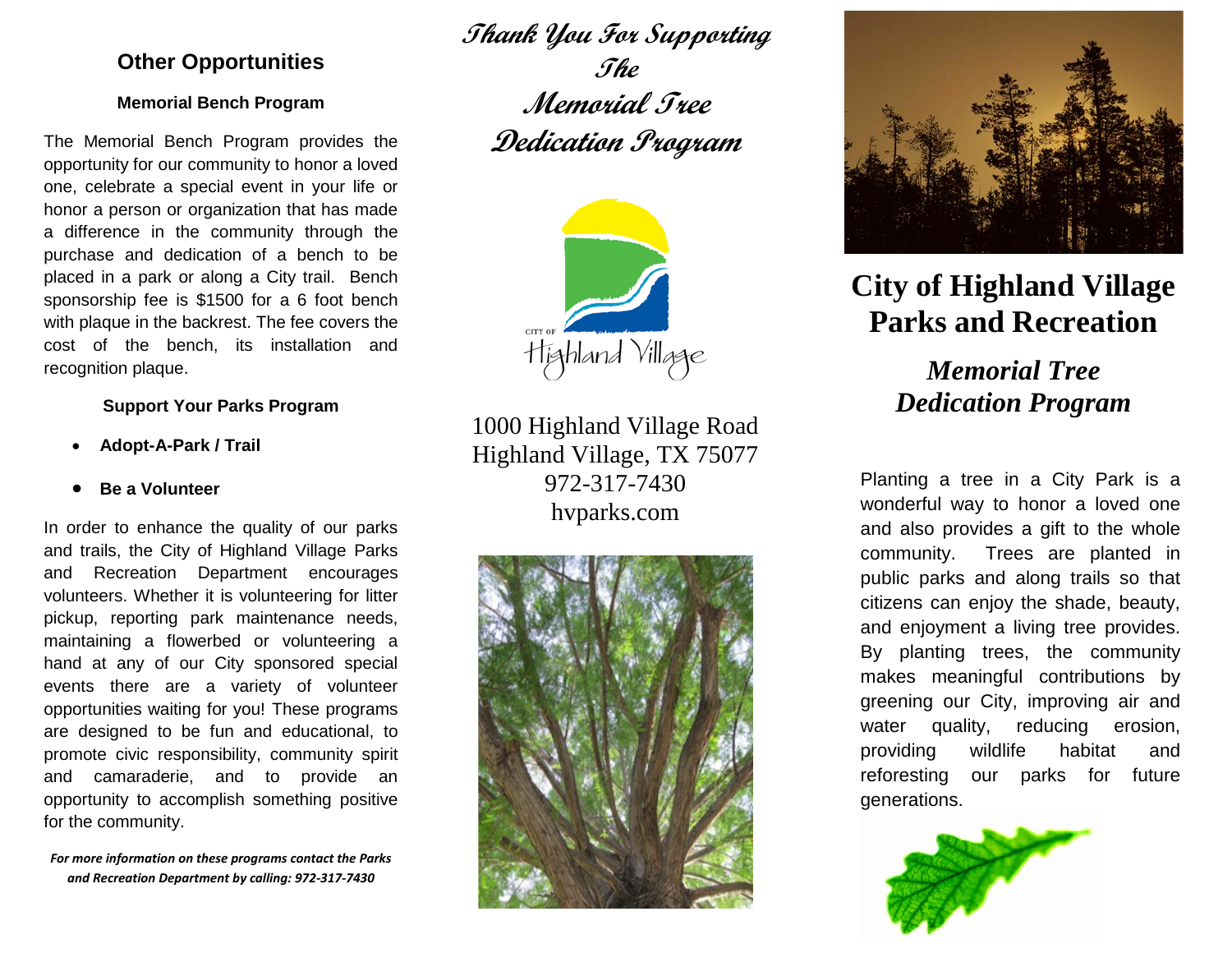## **Other Opportunities**

#### **Memorial Bench Program**

The Memorial Bench Program provides the opportunity for our community to honor a loved one, celebrate a special event in your life or honor a person or organization that has made a difference in the community through the purchase and dedication of a bench to be placed in a park or along a City trail. Bench sponsorship fee is \$1500 for a 6 foot bench with plaque in the backrest. The fee covers the cost of the bench, its installation and recognition plaque.

#### **Support Your Parks Program**

- **Adopt-A-Park / Trail**
- **Be a Volunteer**

In order to enhance the quality of our parks and trails, the City of Highland Village Parks and Recreation Department encourages volunteers. Whether it is volunteering for litter pickup, reporting park maintenance needs, maintaining a flowerbed or volunteering a hand at any of our City sponsored special events there are a variety of volunteer opportunities waiting for you! These programs are designed to be fun and educational, to promote civic responsibility, community spirit and camaraderie, and to provide an opportunity to accomplish something positive for the community.

*For more information on these programs contact the Parks and Recreation Department by calling: 972-317-7430*

**Thank You For Supporting The Memorial Tree Dedication Program**



1000 Highland Village Road Highland Village, TX 75077 972-317-7430 hvparks.com





# **City of Highland Village Parks and Recreation**

*Memorial Tree Dedication Program*

Planting a tree in a City Park is a wonderful way to honor a loved one and also provides a gift to the whole community. Trees are planted in public parks and along trails so that citizens can enjoy the shade, beauty, and enjoyment a living tree provides. By planting trees, the community makes meaningful contributions by greening our City, improving air and water quality, reducing erosion, providing wildlife habitat and reforesting our parks for future generations.